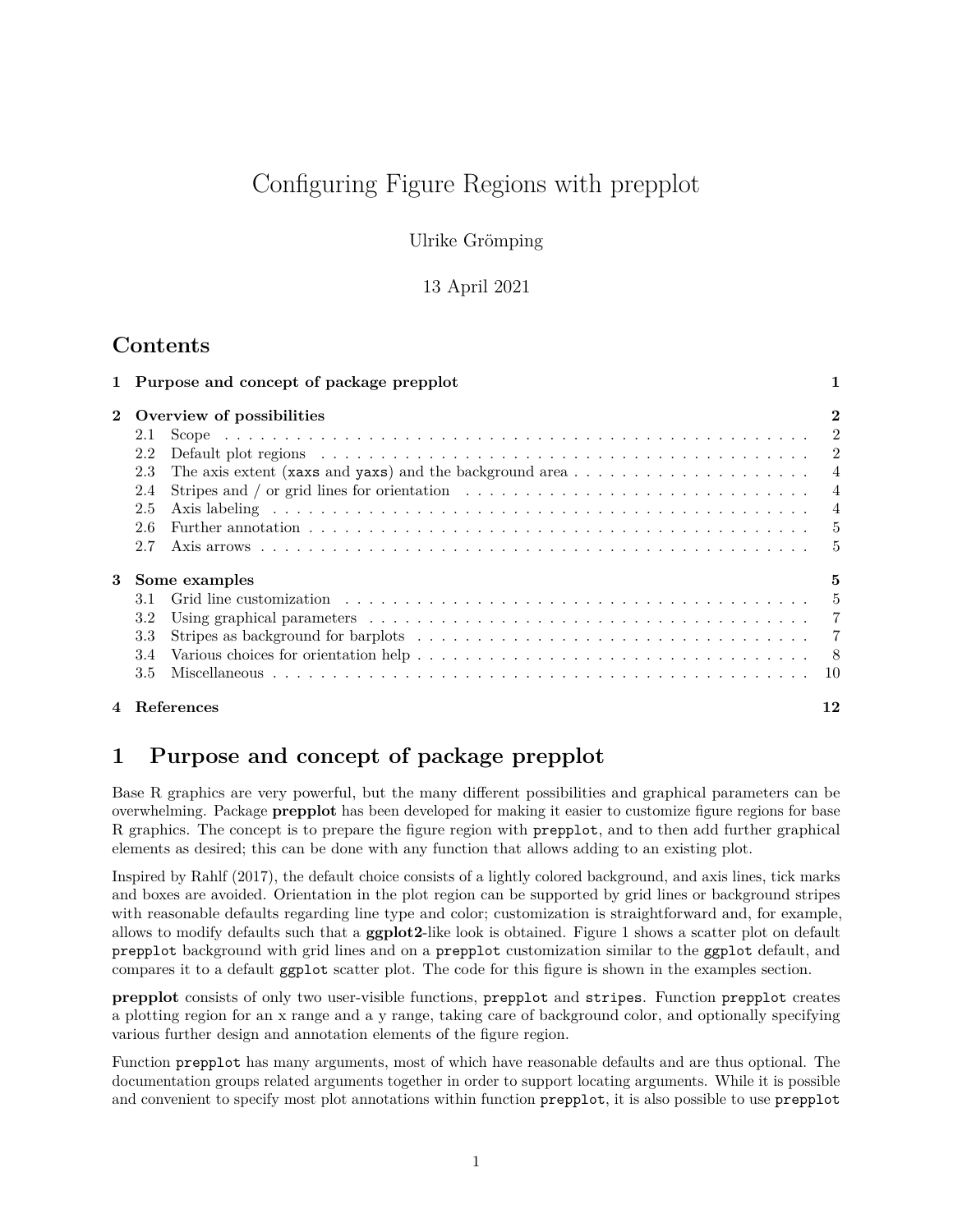# Configuring Figure Regions with prepplot

Ulrike Grömping

#### 13 April 2021

## **Contents**

|              |                           | 1 Purpose and concept of package prepplot                                                                                | 1              |
|--------------|---------------------------|--------------------------------------------------------------------------------------------------------------------------|----------------|
| $\mathbf{2}$ | Overview of possibilities |                                                                                                                          |                |
|              | 2.1                       |                                                                                                                          |                |
|              | 2.2<br>2.3                |                                                                                                                          |                |
|              | 2.4                       | Stripes and / or grid lines for orientation $\dots \dots \dots \dots \dots \dots \dots \dots \dots \dots \dots \dots$    |                |
|              | 2.5<br>2.6                |                                                                                                                          | $\overline{4}$ |
|              | 2.7                       |                                                                                                                          |                |
| 3            | Some examples<br>5        |                                                                                                                          |                |
|              | 3.1                       |                                                                                                                          |                |
|              | 3.2                       |                                                                                                                          |                |
|              | 3.3                       | Stripes as background for barplots $\ldots \ldots \ldots \ldots \ldots \ldots \ldots \ldots \ldots \ldots \ldots \ldots$ |                |
|              | 3.4                       |                                                                                                                          |                |
|              | 3.5                       |                                                                                                                          |                |
|              |                           | 4 References                                                                                                             |                |

# <span id="page-0-0"></span>**1 Purpose and concept of package prepplot**

Base R graphics are very powerful, but the many different possibilities and graphical parameters can be overwhelming. Package **prepplot** has been developed for making it easier to customize figure regions for base R graphics. The concept is to prepare the figure region with prepplot, and to then add further graphical elements as desired; this can be done with any function that allows adding to an existing plot.

Inspired by Rahlf (2017), the default choice consists of a lightly colored background, and axis lines, tick marks and boxes are avoided. Orientation in the plot region can be supported by grid lines or background stripes with reasonable defaults regarding line type and color; customization is straightforward and, for example, allows to modify defaults such that a **ggplot2**-like look is obtained. Figure [1](#page-1-3) shows a scatter plot on default prepplot background with grid lines and on a prepplot customization similar to the ggplot default, and compares it to a default ggplot scatter plot. The code for this figure is shown in the examples section.

**prepplot** consists of only two user-visible functions, prepplot and stripes. Function prepplot creates a plotting region for an x range and a y range, taking care of background color, and optionally specifying various further design and annotation elements of the figure region.

Function prepplot has many arguments, most of which have reasonable defaults and are thus optional. The documentation groups related arguments together in order to support locating arguments. While it is possible and convenient to specify most plot annotations within function prepplot, it is also possible to use prepplot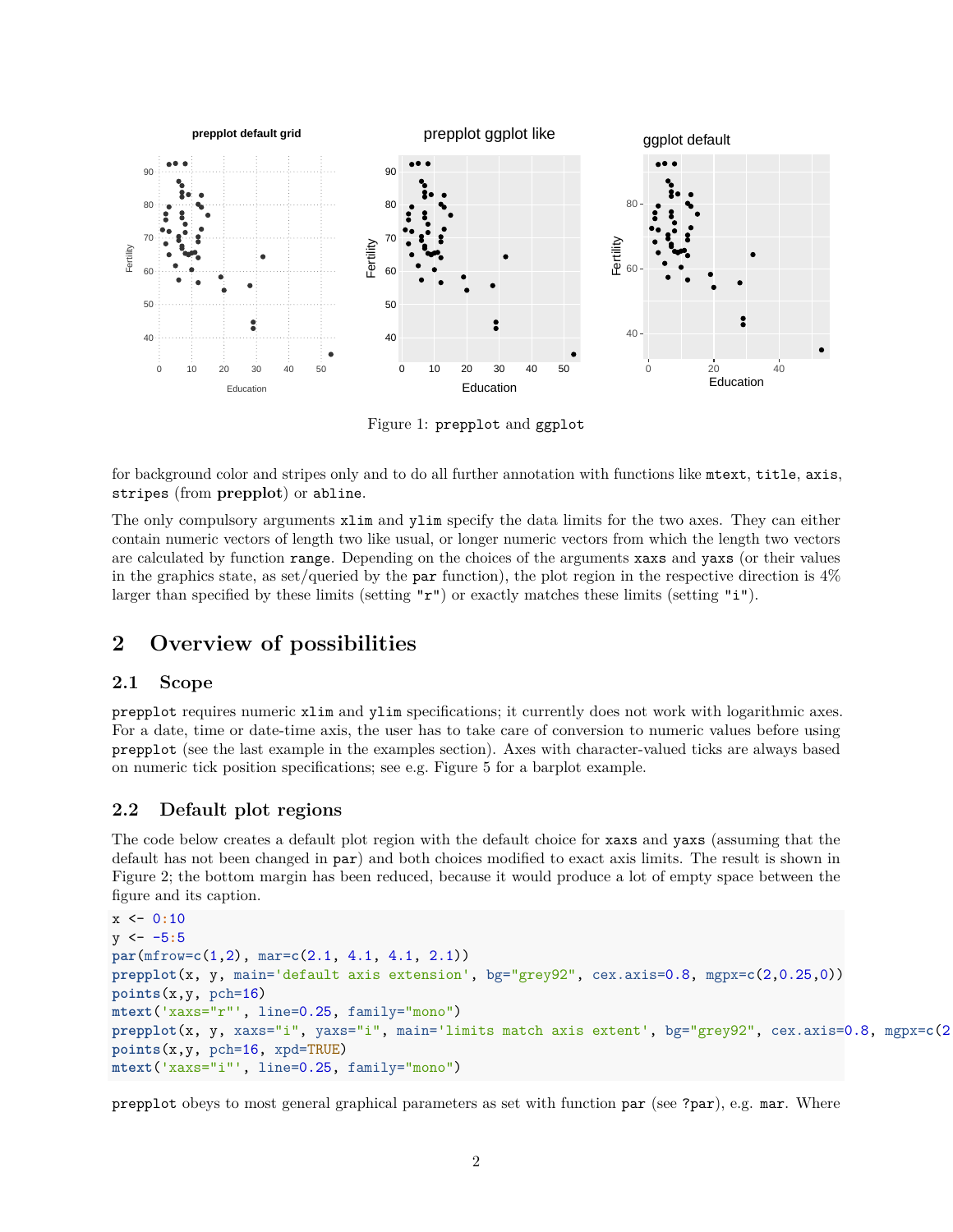

<span id="page-1-3"></span>Figure 1: prepplot and ggplot

for background color and stripes only and to do all further annotation with functions like mtext, title, axis, stripes (from **prepplot**) or abline.

The only compulsory arguments xlim and ylim specify the data limits for the two axes. They can either contain numeric vectors of length two like usual, or longer numeric vectors from which the length two vectors are calculated by function range. Depending on the choices of the arguments xaxs and yaxs (or their values in the graphics state, as set/queried by the par function), the plot region in the respective direction is  $4\%$ larger than specified by these limits (setting  $\mathbf{r}$ ") or exactly matches these limits (setting "i").

### <span id="page-1-0"></span>**2 Overview of possibilities**

#### <span id="page-1-1"></span>**2.1 Scope**

prepplot requires numeric xlim and ylim specifications; it currently does not work with logarithmic axes. For a date, time or date-time axis, the user has to take care of conversion to numeric values before using prepplot (see the last example in the examples section). Axes with character-valued ticks are always based on numeric tick position specifications; see e.g. Figure [5](#page-8-0) for a barplot example.

#### <span id="page-1-2"></span>**2.2 Default plot regions**

The code below creates a default plot region with the default choice for xaxs and yaxs (assuming that the default has not been changed in par) and both choices modified to exact axis limits. The result is shown in Figure [2;](#page-2-0) the bottom margin has been reduced, because it would produce a lot of empty space between the figure and its caption.

```
x <- 0:10
y <- -5:5
par(mfrow=c(1,2), mar=c(2.1, 4.1, 4.1, 2.1))
prepplot(x, y, main='default axis extension', bg="grey92", cex.axis=0.8, mgpx=c(2,0.25,0))
points(x,y, pch=16)
mtext('xaxs="r"', line=0.25, family="mono")
prepplot(x, y, xaxs="i", yaxs="i", main='limits match axis extent', bg="grey92", cex.axis=0.8, mgpx=c(2,0.25,0))
points(x,y, pch=16, xpd=TRUE)
mtext('xaxs="i"', line=0.25, family="mono")
```
prepplot obeys to most general graphical parameters as set with function par (see ?par), e.g. mar. Where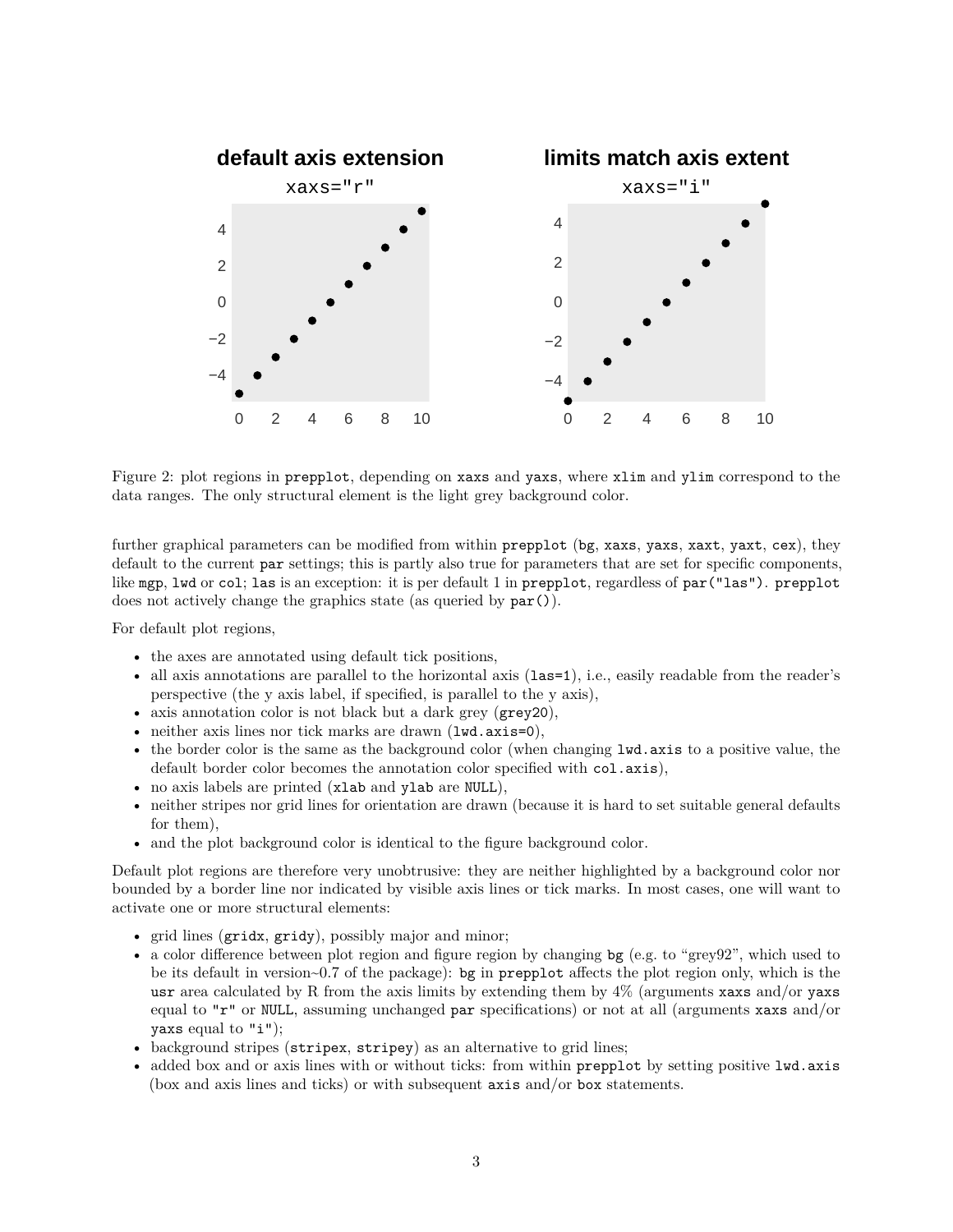

<span id="page-2-0"></span>Figure 2: plot regions in prepplot, depending on xaxs and yaxs, where xlim and ylim correspond to the data ranges. The only structural element is the light grey background color.

further graphical parameters can be modified from within prepplot (bg, xaxs, yaxs, xaxt, yaxt, cex), they default to the current par settings; this is partly also true for parameters that are set for specific components, like mgp, lwd or col; las is an exception: it is per default 1 in prepplot, regardless of par("las"). prepplot does not actively change the graphics state (as queried by par()).

For default plot regions,

- the axes are annotated using default tick positions,
- all axis annotations are parallel to the horizontal axis (las=1), i.e., easily readable from the reader's perspective (the y axis label, if specified, is parallel to the y axis),
- axis annotation color is not black but a dark grey (grey20),
- neither axis lines nor tick marks are drawn (lwd.axis=0),
- the border color is the same as the background color (when changing lwd.axis to a positive value, the default border color becomes the annotation color specified with col.axis),
- no axis labels are printed (xlab and ylab are NULL),
- neither stripes nor grid lines for orientation are drawn (because it is hard to set suitable general defaults for them),
- and the plot background color is identical to the figure background color.

Default plot regions are therefore very unobtrusive: they are neither highlighted by a background color nor bounded by a border line nor indicated by visible axis lines or tick marks. In most cases, one will want to activate one or more structural elements:

- grid lines (gridx, gridy), possibly major and minor;
- a color difference between plot region and figure region by changing bg (e.g. to "grey92", which used to be its default in version~0.7 of the package): bg in prepplot affects the plot region only, which is the usr area calculated by R from the axis limits by extending them by 4% (arguments xaxs and/or yaxs equal to "r" or NULL, assuming unchanged par specifications) or not at all (arguments xaxs and/or yaxs equal to  $"i"$ );
- background stripes (stripex, stripey) as an alternative to grid lines;
- added box and or axis lines with or without ticks: from within prepplot by setting positive lwd.axis (box and axis lines and ticks) or with subsequent axis and/or box statements.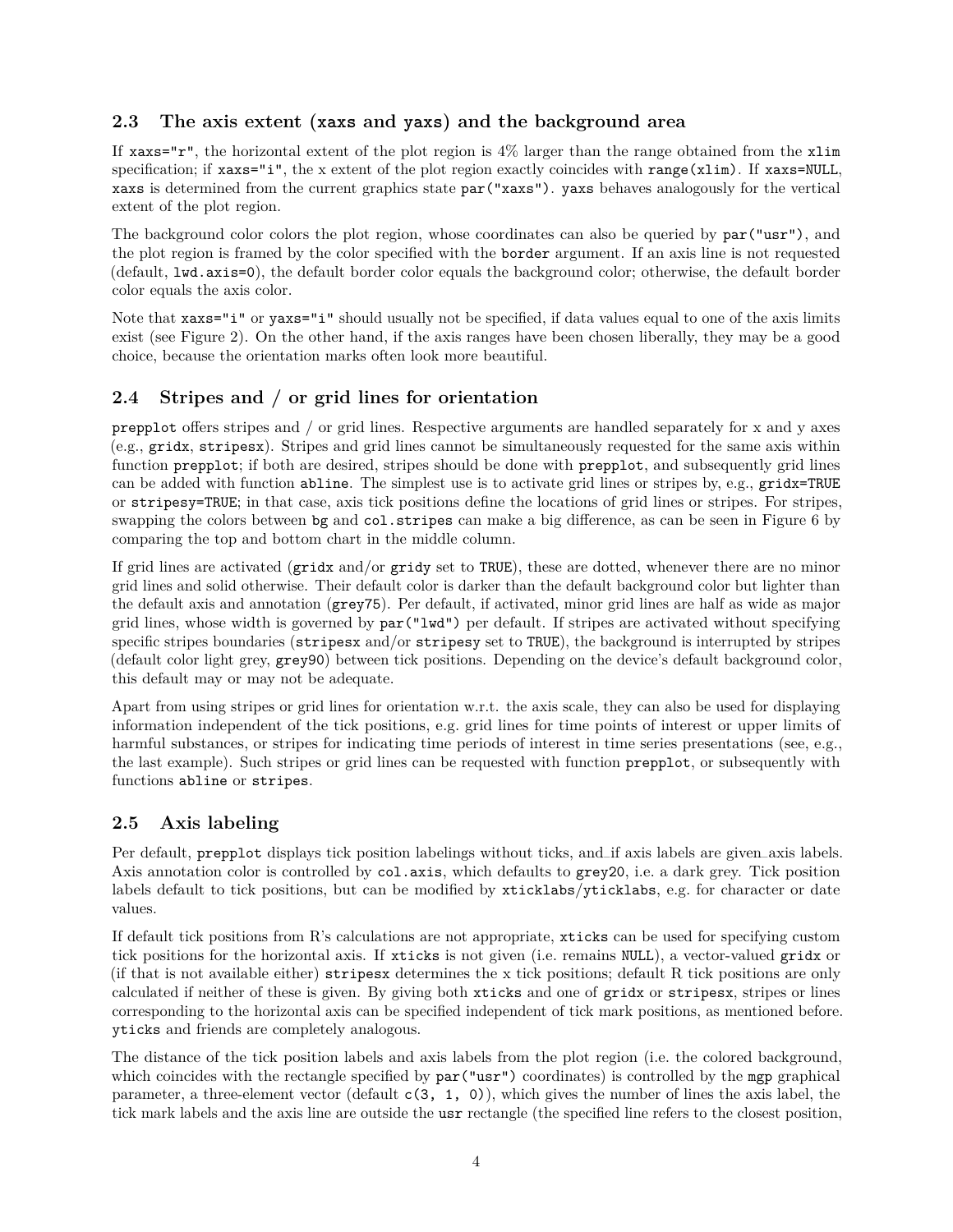### <span id="page-3-0"></span>**2.3 The axis extent (xaxs and yaxs) and the background area**

If  $x$ axs="r", the horizontal extent of the plot region is 4% larger than the range obtained from the  $x$ lim specification; if xaxs="i", the x extent of the plot region exactly coincides with range(xlim). If xaxs=NULL, xaxs is determined from the current graphics state par("xaxs"). yaxs behaves analogously for the vertical extent of the plot region.

The background color colors the plot region, whose coordinates can also be queried by  $par("usr")$ , and the plot region is framed by the color specified with the border argument. If an axis line is not requested (default, lwd.axis=0), the default border color equals the background color; otherwise, the default border color equals the axis color.

Note that  $x \text{ axis} = "i"$  or  $y \text{ axis} = "i"$  should usually not be specified, if data values equal to one of the axis limits exist (see Figure [2\)](#page-2-0). On the other hand, if the axis ranges have been chosen liberally, they may be a good choice, because the orientation marks often look more beautiful.

### <span id="page-3-1"></span>**2.4 Stripes and / or grid lines for orientation**

prepplot offers stripes and / or grid lines. Respective arguments are handled separately for x and y axes (e.g., gridx, stripesx). Stripes and grid lines cannot be simultaneously requested for the same axis within function prepplot; if both are desired, stripes should be done with prepplot, and subsequently grid lines can be added with function abline. The simplest use is to activate grid lines or stripes by, e.g., gridx=TRUE or stripesy=TRUE; in that case, axis tick positions define the locations of grid lines or stripes. For stripes, swapping the colors between bg and col.stripes can make a big difference, as can be seen in Figure [6](#page-9-1) by comparing the top and bottom chart in the middle column.

If grid lines are activated (gridx and/or gridy set to TRUE), these are dotted, whenever there are no minor grid lines and solid otherwise. Their default color is darker than the default background color but lighter than the default axis and annotation (grey75). Per default, if activated, minor grid lines are half as wide as major grid lines, whose width is governed by par("lwd") per default. If stripes are activated without specifying specific stripes boundaries (stripesx and/or stripesy set to TRUE), the background is interrupted by stripes (default color light grey, grey90) between tick positions. Depending on the device's default background color, this default may or may not be adequate.

Apart from using stripes or grid lines for orientation w.r.t. the axis scale, they can also be used for displaying information independent of the tick positions, e.g. grid lines for time points of interest or upper limits of harmful substances, or stripes for indicating time periods of interest in time series presentations (see, e.g., the last example). Such stripes or grid lines can be requested with function prepplot, or subsequently with functions abline or stripes.

### <span id="page-3-2"></span>**2.5 Axis labeling**

Per default, prepplot displays tick position labelings without ticks, and–if axis labels are given–axis labels. Axis annotation color is controlled by col.axis, which defaults to grey20, i.e. a dark grey. Tick position labels default to tick positions, but can be modified by xticklabs/yticklabs, e.g. for character or date values.

If default tick positions from R's calculations are not appropriate, xticks can be used for specifying custom tick positions for the horizontal axis. If xticks is not given (i.e. remains NULL), a vector-valued gridx or (if that is not available either) stripesx determines the x tick positions; default R tick positions are only calculated if neither of these is given. By giving both xticks and one of gridx or stripesx, stripes or lines corresponding to the horizontal axis can be specified independent of tick mark positions, as mentioned before. yticks and friends are completely analogous.

The distance of the tick position labels and axis labels from the plot region (i.e. the colored background, which coincides with the rectangle specified by  $par("usr")$  coordinates) is controlled by the mgp graphical parameter, a three-element vector (default  $c(3, 1, 0)$ ), which gives the number of lines the axis label, the tick mark labels and the axis line are outside the usr rectangle (the specified line refers to the closest position,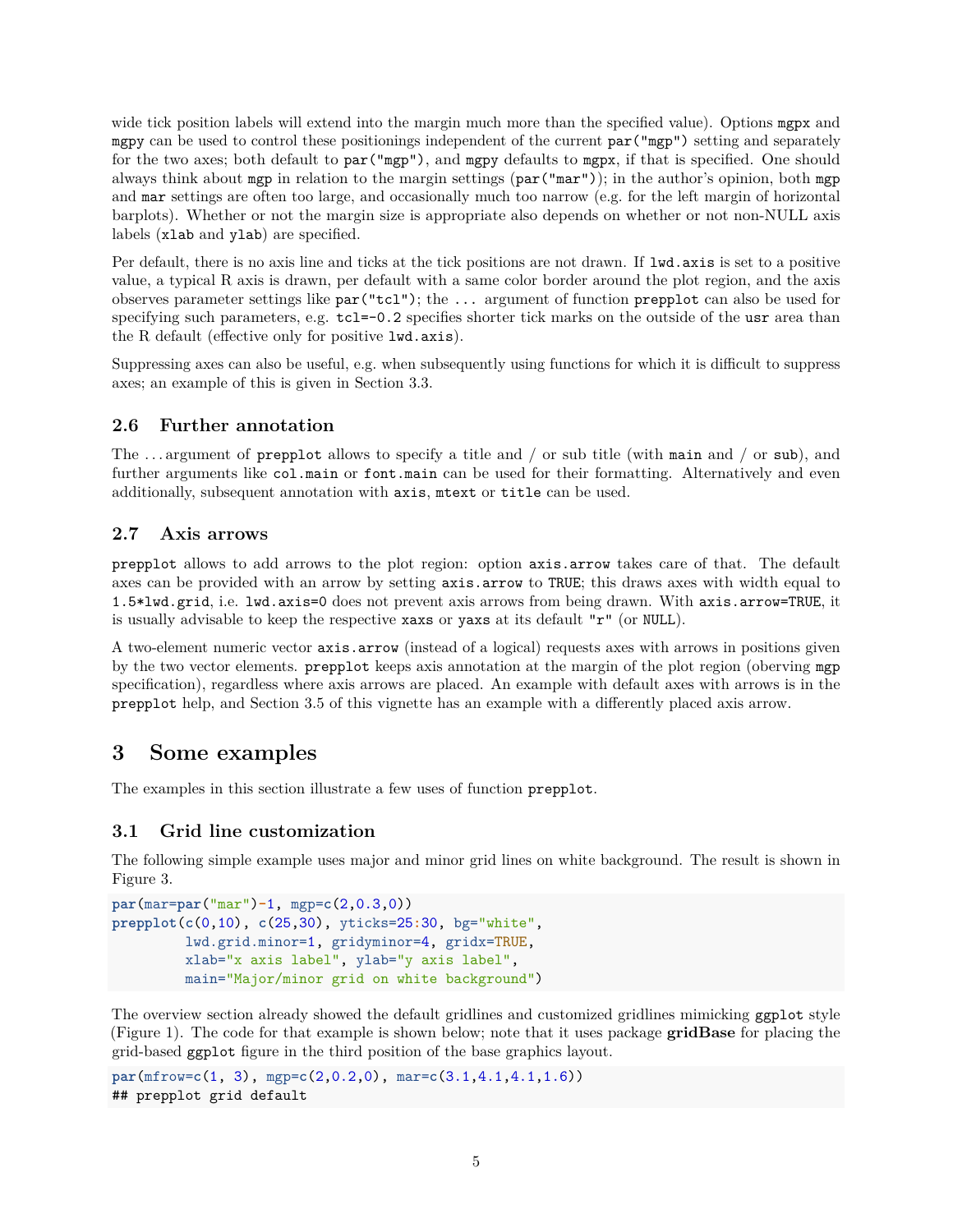wide tick position labels will extend into the margin much more than the specified value). Options mgpx and mgpy can be used to control these positionings independent of the current par("mgp") setting and separately for the two axes; both default to par("mgp"), and mgpy defaults to mgpx, if that is specified. One should always think about mgp in relation to the margin settings (par("mar")); in the author's opinion, both mgp and mar settings are often too large, and occasionally much too narrow (e.g. for the left margin of horizontal barplots). Whether or not the margin size is appropriate also depends on whether or not non-NULL axis labels (xlab and ylab) are specified.

Per default, there is no axis line and ticks at the tick positions are not drawn. If lwd.axis is set to a positive value, a typical R axis is drawn, per default with a same color border around the plot region, and the axis observes parameter settings like par("tcl"); the ... argument of function prepplot can also be used for specifying such parameters, e.g.  $\text{tcl}=-0.2$  specifies shorter tick marks on the outside of the usr area than the R default (effective only for positive lwd.axis).

Suppressing axes can also be useful, e.g. when subsequently using functions for which it is difficult to suppress axes; an example of this is given in Section 3.3.

### <span id="page-4-0"></span>**2.6 Further annotation**

The  $\dots$  argument of prepplot allows to specify a title and / or sub title (with main and / or sub), and further arguments like col.main or font.main can be used for their formatting. Alternatively and even additionally, subsequent annotation with axis, mtext or title can be used.

#### <span id="page-4-1"></span>**2.7 Axis arrows**

prepplot allows to add arrows to the plot region: option axis.arrow takes care of that. The default axes can be provided with an arrow by setting axis.arrow to TRUE; this draws axes with width equal to 1.5\*lwd.grid, i.e. lwd.axis=0 does not prevent axis arrows from being drawn. With axis.arrow=TRUE, it is usually advisable to keep the respective xaxs or yaxs at its default " $r$ " (or NULL).

A two-element numeric vector axis.arrow (instead of a logical) requests axes with arrows in positions given by the two vector elements. prepplot keeps axis annotation at the margin of the plot region (oberving mgp specification), regardless where axis arrows are placed. An example with default axes with arrows is in the prepplot help, and Section 3.5 of this vignette has an example with a differently placed axis arrow.

# <span id="page-4-2"></span>**3 Some examples**

The examples in this section illustrate a few uses of function prepplot.

### <span id="page-4-3"></span>**3.1 Grid line customization**

The following simple example uses major and minor grid lines on white background. The result is shown in Figure [3.](#page-5-0)

```
par(mar=par("mar")-1, mgp=c(2,0.3,0))
prepplot(c(0,10), c(25,30), yticks=25:30, bg="white",
         lwd.grid.minor=1, gridyminor=4, gridx=TRUE,
         xlab="x axis label", ylab="y axis label",
         main="Major/minor grid on white background")
```
The overview section already showed the default gridlines and customized gridlines mimicking ggplot style (Figure [1\)](#page-1-3). The code for that example is shown below; note that it uses package **gridBase** for placing the grid-based ggplot figure in the third position of the base graphics layout.

```
par(mfrow=c(1, 3), mgp=c(2,0.2,0), mar=c(3.1,4.1,4.1,1.6))
## prepplot grid default
```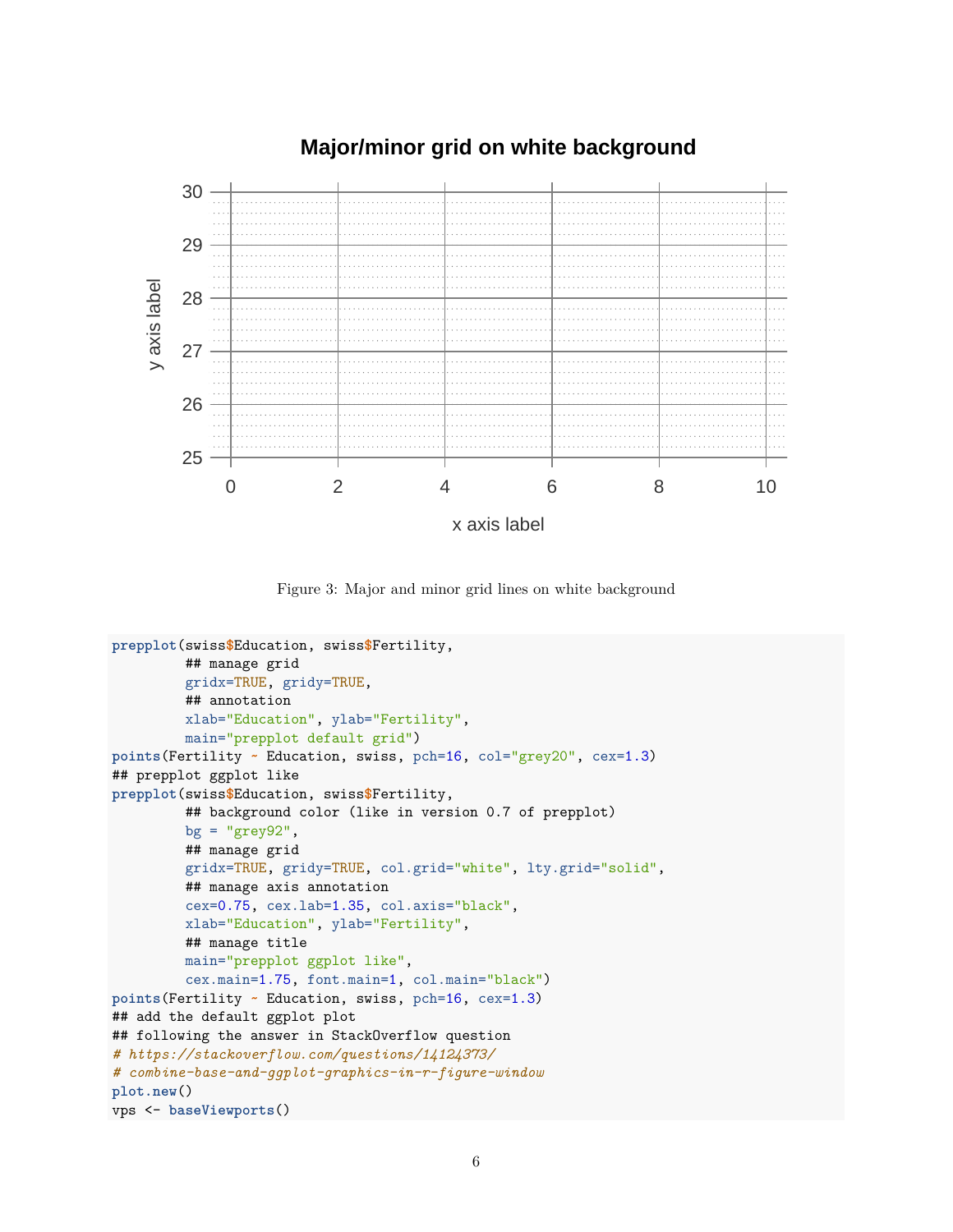## **Major/minor grid on white background**



<span id="page-5-0"></span>Figure 3: Major and minor grid lines on white background

```
prepplot(swiss$Education, swiss$Fertility,
         ## manage grid
         gridx=TRUE, gridy=TRUE,
         ## annotation
         xlab="Education", ylab="Fertility",
         main="prepplot default grid")
points(Fertility ~ Education, swiss, pch=16, col="grey20", cex=1.3)
## prepplot ggplot like
prepplot(swiss$Education, swiss$Fertility,
         ## background color (like in version 0.7 of prepplot)
         bg = "grey92",
         ## manage grid
         gridx=TRUE, gridy=TRUE, col.grid="white", lty.grid="solid",
         ## manage axis annotation
         cex=0.75, cex.lab=1.35, col.axis="black",
         xlab="Education", ylab="Fertility",
         ## manage title
         main="prepplot ggplot like",
         cex.main=1.75, font.main=1, col.main="black")
points(Fertility ~ Education, swiss, pch=16, cex=1.3)
## add the default ggplot plot
## following the answer in StackOverflow question
# https://stackoverflow.com/questions/14124373/
# combine-base-and-ggplot-graphics-in-r-figure-window
plot.new()
vps <- baseViewports()
```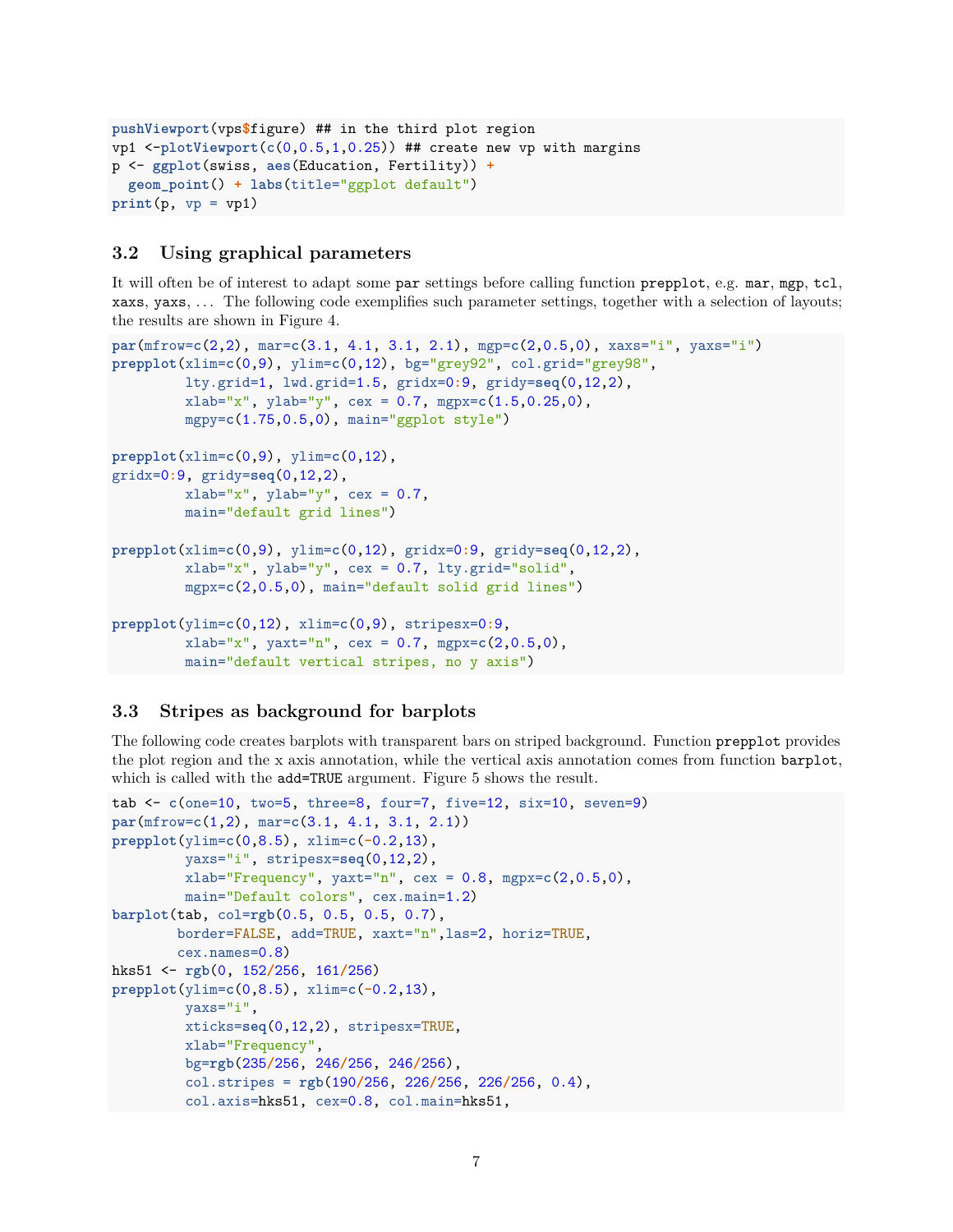```
pushViewport(vps$figure) ## in the third plot region
vp1 <-plotViewport(c(0,0.5,1,0.25)) ## create new vp with margins
p <- ggplot(swiss, aes(Education, Fertility)) +
  geom_point() + labs(title="ggplot default")
print(p, vp = vp1)
```
#### <span id="page-6-0"></span>**3.2 Using graphical parameters**

It will often be of interest to adapt some par settings before calling function prepplot, e.g. mar, mgp, tcl, xaxs, yaxs, . . . The following code exemplifies such parameter settings, together with a selection of layouts; the results are shown in Figure [4.](#page-7-1)

```
par(mfrow=c(2,2), mar=c(3.1, 4.1, 3.1, 2.1), mgp=c(2,0.5,0), xaxs="i", yaxs="i")
prepplot(xlim=c(0,9), ylim=c(0,12), bg="grey92", col.grid="grey98",
         lty.grid=1, lwd.grid=1.5, gridx=0:9, gridy=seq(0,12,2),
         xlab="x", ylab="y", cex = 0.7, mgpx=c(1.5,0.25,0),
         mgpy=c(1.75,0.5,0), main="ggplot style")
prepplot(xlim=c(0,9), ylim=c(0,12),
gridx=0:9, gridy=seq(0,12,2),
         xlab="x", ylab="y", cex = 0.7,
         main="default grid lines")
prepplot(xlim=c(0,9), ylim=c(0,12), gridx=0:9, gridy=seq(0,12,2),
         xlab="x", ylab="y", cex = 0.7, lty.grid="solid",
         mgpx=c(2,0.5,0), main="default solid grid lines")
prepplot(ylim=c(0,12), xlim=c(0,9), stripesx=0:9,
         xlab="x", yaxt="n", cex = 0.7, mgpx=c(2,0.5,0),
         main="default vertical stripes, no y axis")
```
#### <span id="page-6-1"></span>**3.3 Stripes as background for barplots**

The following code creates barplots with transparent bars on striped background. Function prepplot provides the plot region and the x axis annotation, while the vertical axis annotation comes from function barplot, which is called with the add=TRUE argument. Figure [5](#page-8-0) shows the result.

```
tab <- c(one=10, two=5, three=8, four=7, five=12, six=10, seven=9)
par(mfrow=c(1,2), mar=c(3.1, 4.1, 3.1, 2.1))
prepplot(ylim=c(0,8.5), xlim=c(-0.2,13),
         yaxs="i", stripesx=seq(0,12,2),
         xlab="Frequency", yaxt="n", cex = 0.8, mgpx=c(2,0.5,0),
         main="Default colors", cex.main=1.2)
barplot(tab, col=rgb(0.5, 0.5, 0.5, 0.7),
        border=FALSE, add=TRUE, xaxt="n",las=2, horiz=TRUE,
        cex.names=0.8)
hks51 <- rgb(0, 152/256, 161/256)
prepplot(ylim=c(0,8.5), xlim=c(-0.2,13),
         yaxs="i",
         xticks=seq(0,12,2), stripesx=TRUE,
         xlab="Frequency",
         bg=rgb(235/256, 246/256, 246/256),
         col.stripes = rgb(190/256, 226/256, 226/256, 0.4),
         col.axis=hks51, cex=0.8, col.main=hks51,
```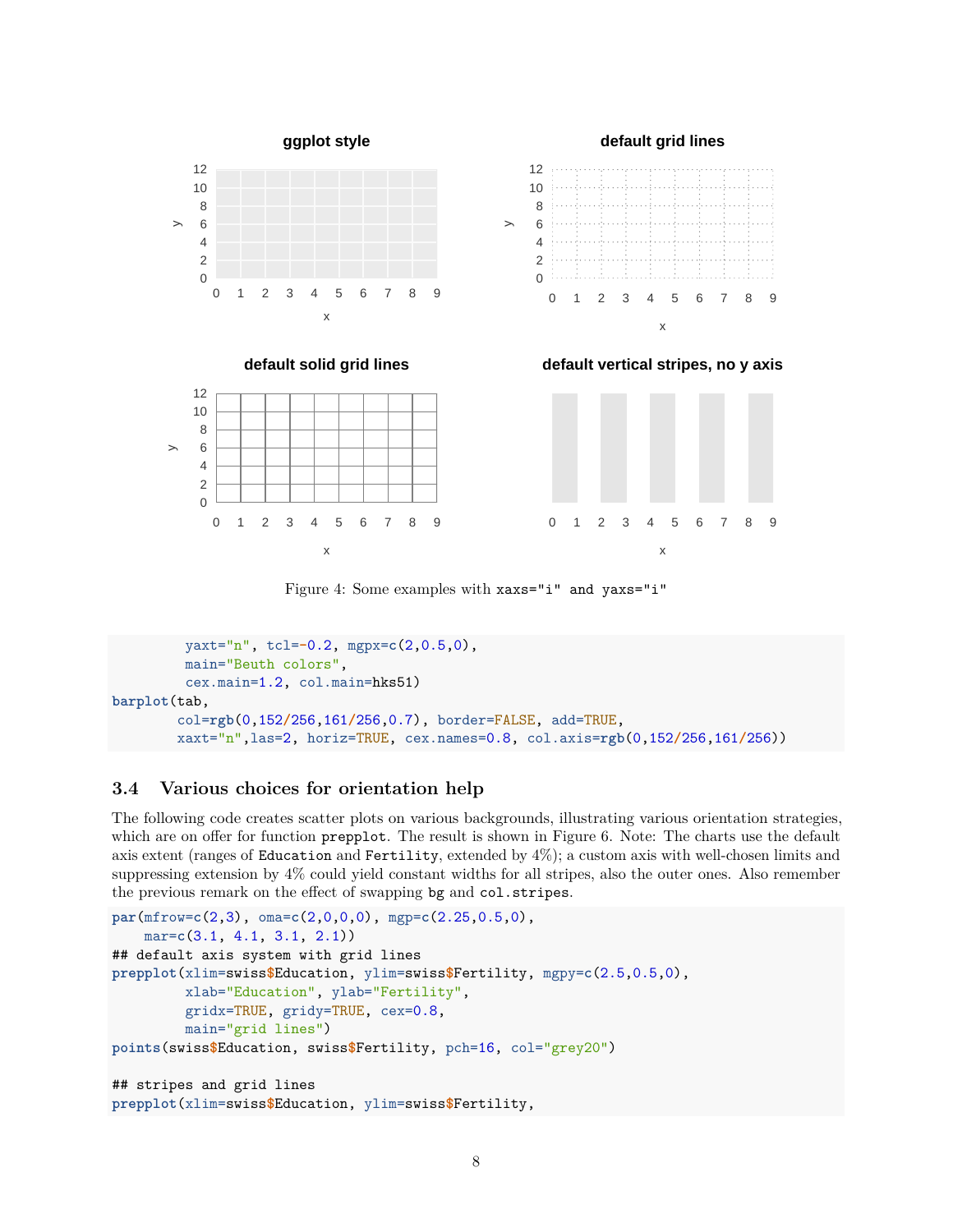

<span id="page-7-1"></span>Figure 4: Some examples with xaxs="i" and yaxs="i"

```
yaxt="n", tcl=-0.2, mgpx=c(2,0.5,0),
         main="Beuth colors",
         cex.main=1.2, col.main=hks51)
barplot(tab,
        col=rgb(0,152/256,161/256,0.7), border=FALSE, add=TRUE,
        xaxt="n",las=2, horiz=TRUE, cex.names=0.8, col.axis=rgb(0,152/256,161/256))
```
#### <span id="page-7-0"></span>**3.4 Various choices for orientation help**

The following code creates scatter plots on various backgrounds, illustrating various orientation strategies, which are on offer for function **prepplot**. The result is shown in Figure [6.](#page-9-1) Note: The charts use the default axis extent (ranges of Education and Fertility, extended by 4%); a custom axis with well-chosen limits and suppressing extension by 4% could yield constant widths for all stripes, also the outer ones. Also remember the previous remark on the effect of swapping bg and col.stripes.

```
par(mfrow=c(2,3), oma=c(2,0,0,0), mgp=c(2.25,0.5,0),
    mar=c(3.1, 4.1, 3.1, 2.1))
## default axis system with grid lines
prepplot(xlim=swiss$Education, ylim=swiss$Fertility, mgpy=c(2.5,0.5,0),
         xlab="Education", ylab="Fertility",
         gridx=TRUE, gridy=TRUE, cex=0.8,
         main="grid lines")
points(swiss$Education, swiss$Fertility, pch=16, col="grey20")
## stripes and grid lines
prepplot(xlim=swiss$Education, ylim=swiss$Fertility,
```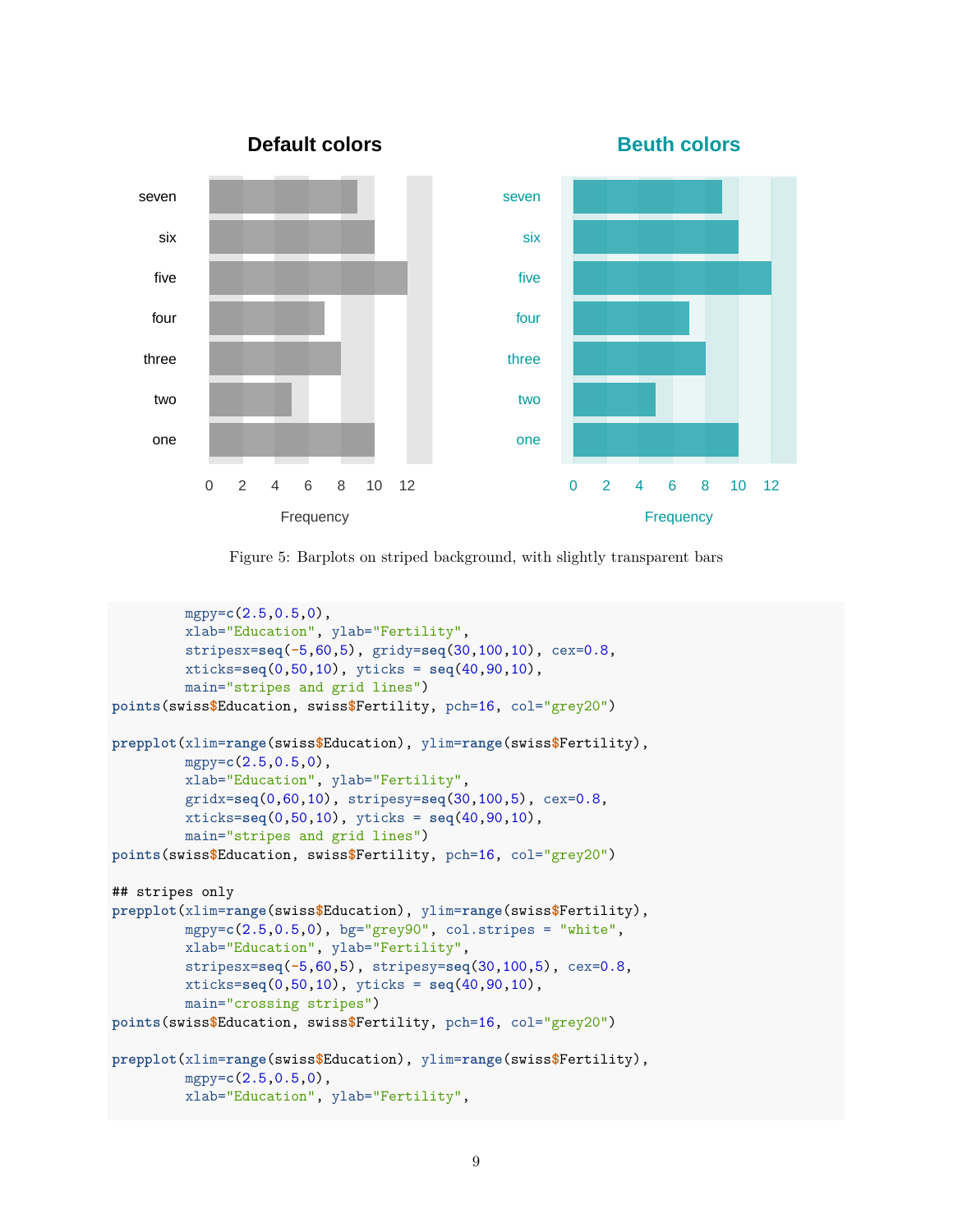

<span id="page-8-0"></span>Figure 5: Barplots on striped background, with slightly transparent bars

```
mgpy=c(2.5,0.5,0),
         xlab="Education", ylab="Fertility",
         stripesx=seq(-5,60,5), gridy=seq(30,100,10), cex=0.8,
         xticks=seq(0,50,10), yticks = seq(40,90,10),
         main="stripes and grid lines")
points(swiss$Education, swiss$Fertility, pch=16, col="grey20")
prepplot(xlim=range(swiss$Education), ylim=range(swiss$Fertility),
         mgpy=c(2.5,0.5,0),
         xlab="Education", ylab="Fertility",
         gridx=seq(0,60,10), stripesy=seq(30,100,5), cex=0.8,
         xticks=seq(0,50,10), yticks = seq(40,90,10),
         main="stripes and grid lines")
points(swiss$Education, swiss$Fertility, pch=16, col="grey20")
## stripes only
prepplot(xlim=range(swiss$Education), ylim=range(swiss$Fertility),
         mgpy=c(2.5,0.5,0), bg="grey90", col.stripes = "white",
         xlab="Education", ylab="Fertility",
         stripesx=seq(-5,60,5), stripesy=seq(30,100,5), cex=0.8,
         xticks=seq(0,50,10), yticks = seq(40,90,10),
         main="crossing stripes")
points(swiss$Education, swiss$Fertility, pch=16, col="grey20")
prepplot(xlim=range(swiss$Education), ylim=range(swiss$Fertility),
         mgpy=c(2.5,0.5,0),
         xlab="Education", ylab="Fertility",
```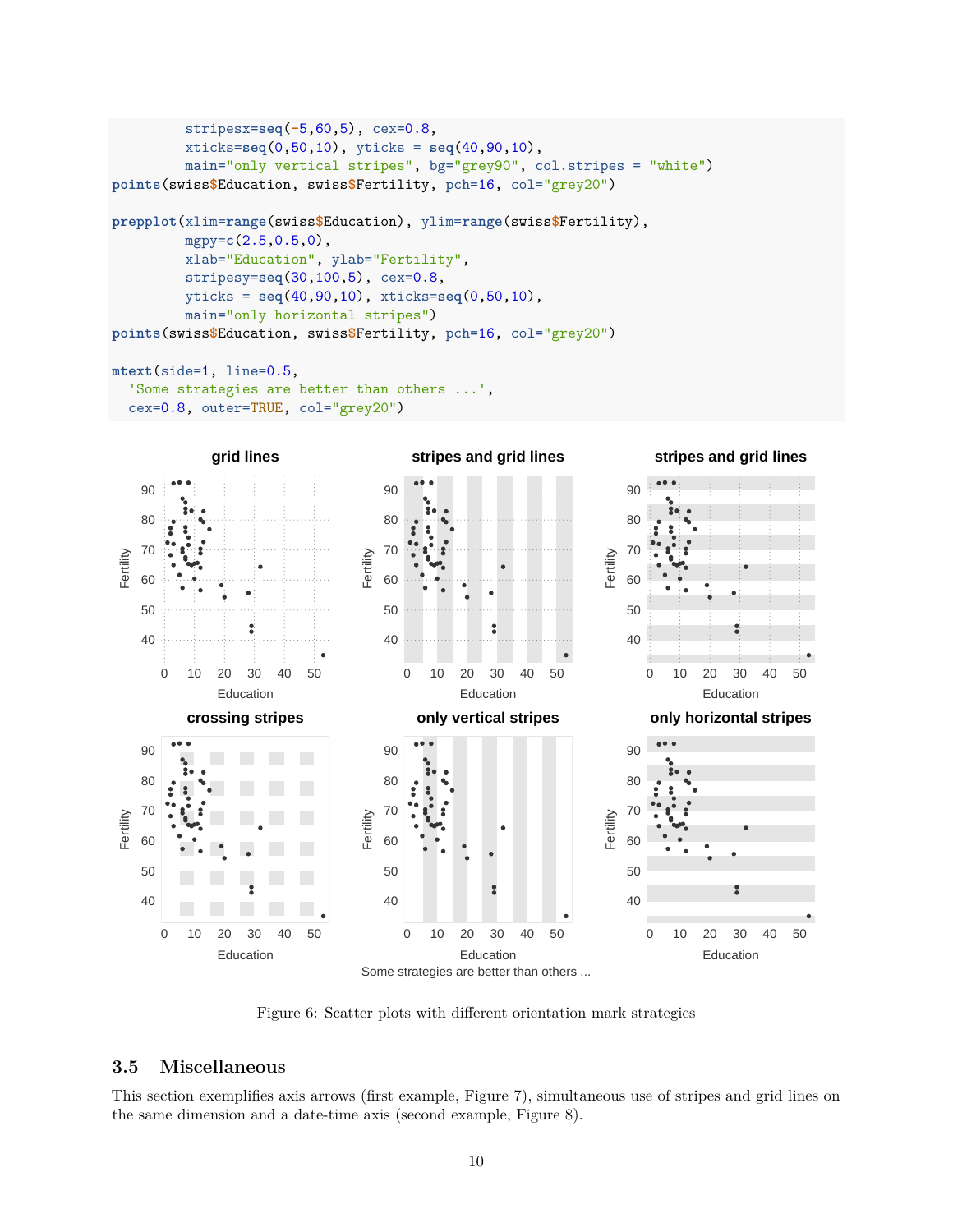```
stripesx=seq(-5,60,5), cex=0.8,
         xticks=seq(0,50,10), yticks = seq(40,90,10),
         main="only vertical stripes", bg="grey90", col.stripes = "white")
points(swiss$Education, swiss$Fertility, pch=16, col="grey20")
prepplot(xlim=range(swiss$Education), ylim=range(swiss$Fertility),
         mgpy=c(2.5,0.5,0),
         xlab="Education", ylab="Fertility",
         stripesy=seq(30,100,5), cex=0.8,
         yticks = seq(40,90,10), xticks=seq(0,50,10),
         main="only horizontal stripes")
points(swiss$Education, swiss$Fertility, pch=16, col="grey20")
```

```
mtext(side=1, line=0.5,
  'Some strategies are better than others ...',
  cex=0.8, outer=TRUE, col="grey20")
```


<span id="page-9-1"></span>Figure 6: Scatter plots with different orientation mark strategies

#### <span id="page-9-0"></span>**3.5 Miscellaneous**

This section exemplifies axis arrows (first example, Figure [7\)](#page-10-0), simultaneous use of stripes and grid lines on the same dimension and a date-time axis (second example, Figure [8\)](#page-11-1).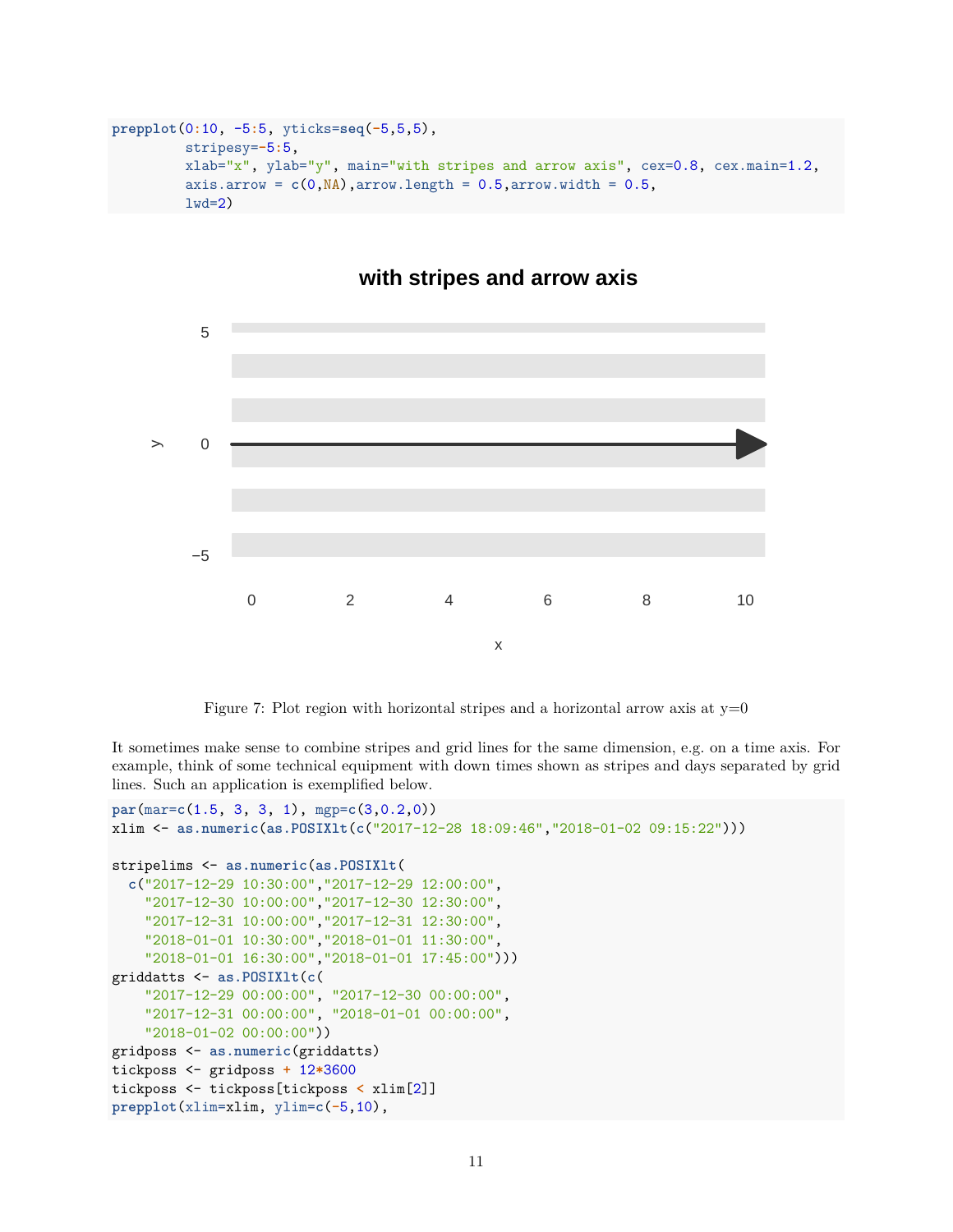```
prepplot(0:10, -5:5, yticks=seq(-5,5,5),
         stripesy=-5:5,
         xlab="x", ylab="y", main="with stripes and arrow axis", cex=0.8, cex.main=1.2,
         axis.arrow = c(0, NA), arrow.length = 0.5, arrow.width = 0.5,
         1wd=2)
```


### **with stripes and arrow axis**

<span id="page-10-0"></span>Figure 7: Plot region with horizontal stripes and a horizontal arrow axis at  $y=0$ 

It sometimes make sense to combine stripes and grid lines for the same dimension, e.g. on a time axis. For example, think of some technical equipment with down times shown as stripes and days separated by grid lines. Such an application is exemplified below.

```
par(mar=c(1.5, 3, 3, 1), mgp=c(3,0.2,0))
xlim <- as.numeric(as.POSIXlt(c("2017-12-28 18:09:46","2018-01-02 09:15:22")))
stripelims <- as.numeric(as.POSIXlt(
  c("2017-12-29 10:30:00","2017-12-29 12:00:00",
    "2017-12-30 10:00:00","2017-12-30 12:30:00",
    "2017-12-31 10:00:00","2017-12-31 12:30:00",
   "2018-01-01 10:30:00","2018-01-01 11:30:00",
    "2018-01-01 16:30:00","2018-01-01 17:45:00")))
griddatts <- as.POSIXlt(c(
    "2017-12-29 00:00:00", "2017-12-30 00:00:00",
    "2017-12-31 00:00:00", "2018-01-01 00:00:00",
    "2018-01-02 00:00:00"))
gridposs <- as.numeric(griddatts)
tickposs <- gridposs + 12*3600
tickposs <- tickposs[tickposs < xlim[2]]
prepplot(xlim=xlim, ylim=c(-5,10),
```